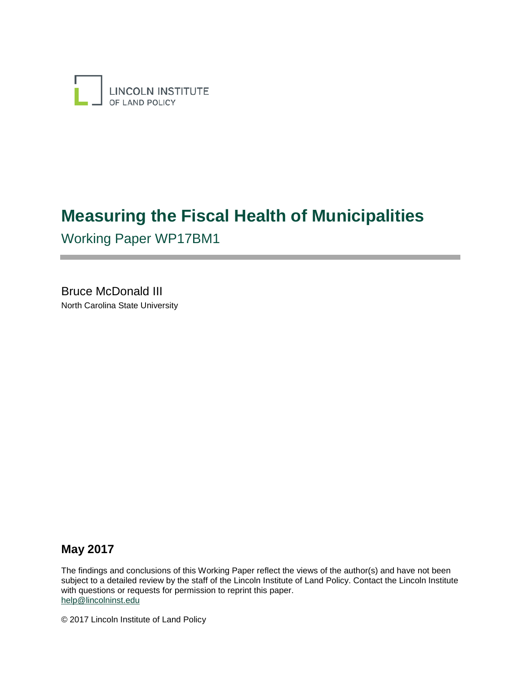

# **Measuring the Fiscal Health of Municipalities**

Working Paper WP17BM1

Bruce McDonald III North Carolina State University

# **May 2017**

The findings and conclusions of this Working Paper reflect the views of the author(s) and have not been subject to a detailed review by the staff of the Lincoln Institute of Land Policy. Contact the Lincoln Institute with questions or requests for permission to reprint this paper. [help@lincolninst.edu](mailto:help@lincolninst.edu) 

© 2017 Lincoln Institute of Land Policy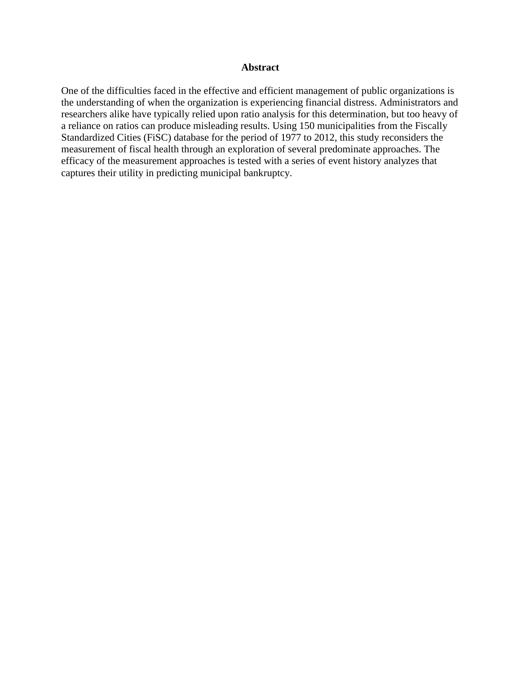#### **Abstract**

One of the difficulties faced in the effective and efficient management of public organizations is the understanding of when the organization is experiencing financial distress. Administrators and researchers alike have typically relied upon ratio analysis for this determination, but too heavy of a reliance on ratios can produce misleading results. Using 150 municipalities from the Fiscally Standardized Cities (FiSC) database for the period of 1977 to 2012, this study reconsiders the measurement of fiscal health through an exploration of several predominate approaches. The efficacy of the measurement approaches is tested with a series of event history analyzes that captures their utility in predicting municipal bankruptcy.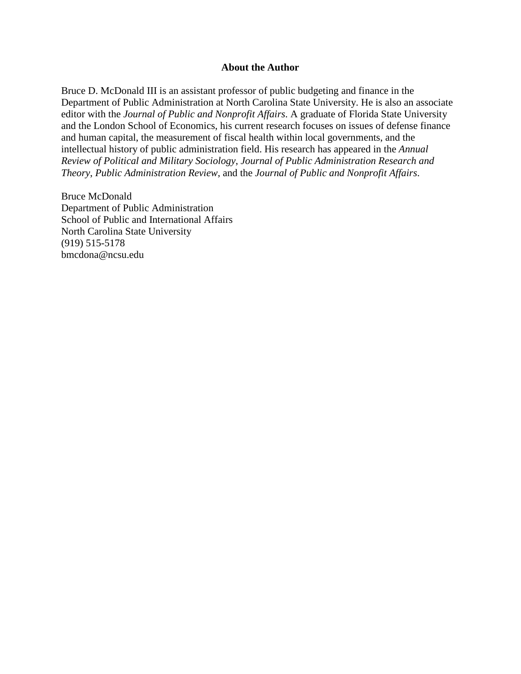#### **About the Author**

Bruce D. McDonald III is an assistant professor of public budgeting and finance in the Department of Public Administration at North Carolina State University. He is also an associate editor with the *Journal of Public and Nonprofit Affairs*. A graduate of Florida State University and the London School of Economics, his current research focuses on issues of defense finance and human capital, the measurement of fiscal health within local governments, and the intellectual history of public administration field. His research has appeared in the *Annual Review of Political and Military Sociology*, *Journal of Public Administration Research and Theory*, *Public Administration Review*, and the *Journal of Public and Nonprofit Affairs*.

Bruce McDonald Department of Public Administration School of Public and International Affairs North Carolina State University (919) 515-5178 [bmcdona@ncsu.edu](mailto:bmcdona@ncsu.edu)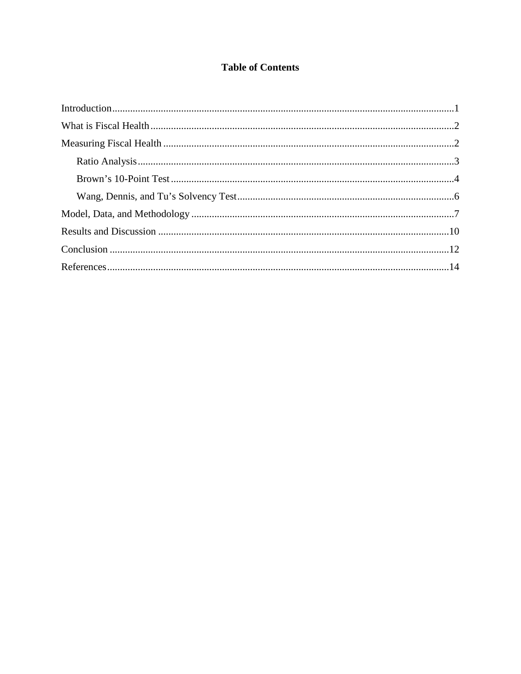# **Table of Contents**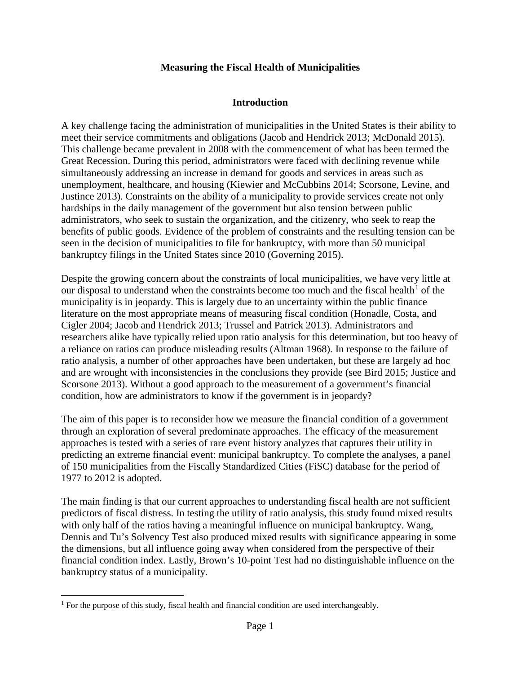## **Measuring the Fiscal Health of Municipalities**

## **Introduction**

A key challenge facing the administration of municipalities in the United States is their ability to meet their service commitments and obligations (Jacob and Hendrick 2013; McDonald 2015). This challenge became prevalent in 2008 with the commencement of what has been termed the Great Recession. During this period, administrators were faced with declining revenue while simultaneously addressing an increase in demand for goods and services in areas such as unemployment, healthcare, and housing (Kiewier and McCubbins 2014; Scorsone, Levine, and Justince 2013). Constraints on the ability of a municipality to provide services create not only hardships in the daily management of the government but also tension between public administrators, who seek to sustain the organization, and the citizenry, who seek to reap the benefits of public goods. Evidence of the problem of constraints and the resulting tension can be seen in the decision of municipalities to file for bankruptcy, with more than 50 municipal bankruptcy filings in the United States since 2010 (Governing 2015).

Despite the growing concern about the constraints of local municipalities, we have very little at our disposal to understand when the constraints become too much and the fiscal health<sup>[1](#page-4-0)</sup> of the municipality is in jeopardy. This is largely due to an uncertainty within the public finance literature on the most appropriate means of measuring fiscal condition (Honadle, Costa, and Cigler 2004; Jacob and Hendrick 2013; Trussel and Patrick 2013). Administrators and researchers alike have typically relied upon ratio analysis for this determination, but too heavy of a reliance on ratios can produce misleading results (Altman 1968). In response to the failure of ratio analysis, a number of other approaches have been undertaken, but these are largely ad hoc and are wrought with inconsistencies in the conclusions they provide (see Bird 2015; Justice and Scorsone 2013). Without a good approach to the measurement of a government's financial condition, how are administrators to know if the government is in jeopardy?

The aim of this paper is to reconsider how we measure the financial condition of a government through an exploration of several predominate approaches. The efficacy of the measurement approaches is tested with a series of rare event history analyzes that captures their utility in predicting an extreme financial event: municipal bankruptcy. To complete the analyses, a panel of 150 municipalities from the Fiscally Standardized Cities (FiSC) database for the period of 1977 to 2012 is adopted.

The main finding is that our current approaches to understanding fiscal health are not sufficient predictors of fiscal distress. In testing the utility of ratio analysis, this study found mixed results with only half of the ratios having a meaningful influence on municipal bankruptcy. Wang, Dennis and Tu's Solvency Test also produced mixed results with significance appearing in some the dimensions, but all influence going away when considered from the perspective of their financial condition index. Lastly, Brown's 10-point Test had no distinguishable influence on the bankruptcy status of a municipality.

<span id="page-4-0"></span><sup>&</sup>lt;sup>1</sup> For the purpose of this study, fiscal health and financial condition are used interchangeably.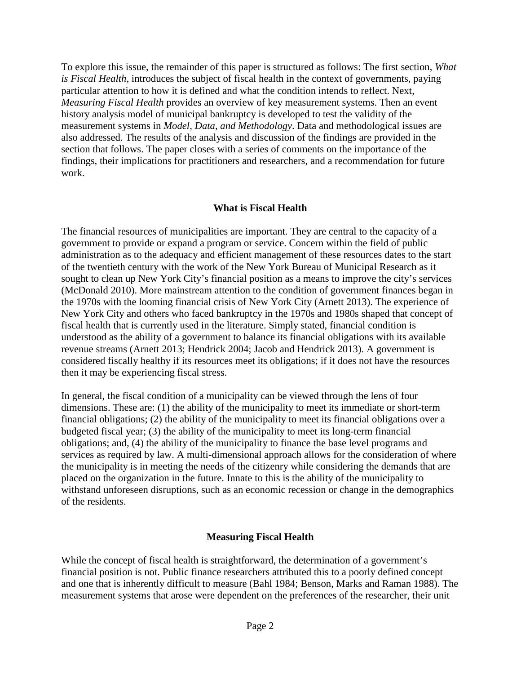To explore this issue, the remainder of this paper is structured as follows: The first section, *What is Fiscal Health*, introduces the subject of fiscal health in the context of governments, paying particular attention to how it is defined and what the condition intends to reflect. Next, *Measuring Fiscal Health* provides an overview of key measurement systems. Then an event history analysis model of municipal bankruptcy is developed to test the validity of the measurement systems in *Model, Data, and Methodology*. Data and methodological issues are also addressed. The results of the analysis and discussion of the findings are provided in the section that follows. The paper closes with a series of comments on the importance of the findings, their implications for practitioners and researchers, and a recommendation for future work.

## **What is Fiscal Health**

The financial resources of municipalities are important. They are central to the capacity of a government to provide or expand a program or service. Concern within the field of public administration as to the adequacy and efficient management of these resources dates to the start of the twentieth century with the work of the New York Bureau of Municipal Research as it sought to clean up New York City's financial position as a means to improve the city's services (McDonald 2010). More mainstream attention to the condition of government finances began in the 1970s with the looming financial crisis of New York City (Arnett 2013). The experience of New York City and others who faced bankruptcy in the 1970s and 1980s shaped that concept of fiscal health that is currently used in the literature. Simply stated, financial condition is understood as the ability of a government to balance its financial obligations with its available revenue streams (Arnett 2013; Hendrick 2004; Jacob and Hendrick 2013). A government is considered fiscally healthy if its resources meet its obligations; if it does not have the resources then it may be experiencing fiscal stress.

In general, the fiscal condition of a municipality can be viewed through the lens of four dimensions. These are: (1) the ability of the municipality to meet its immediate or short-term financial obligations; (2) the ability of the municipality to meet its financial obligations over a budgeted fiscal year; (3) the ability of the municipality to meet its long-term financial obligations; and, (4) the ability of the municipality to finance the base level programs and services as required by law. A multi-dimensional approach allows for the consideration of where the municipality is in meeting the needs of the citizenry while considering the demands that are placed on the organization in the future. Innate to this is the ability of the municipality to withstand unforeseen disruptions, such as an economic recession or change in the demographics of the residents.

## **Measuring Fiscal Health**

While the concept of fiscal health is straightforward, the determination of a government's financial position is not. Public finance researchers attributed this to a poorly defined concept and one that is inherently difficult to measure (Bahl 1984; Benson, Marks and Raman 1988). The measurement systems that arose were dependent on the preferences of the researcher, their unit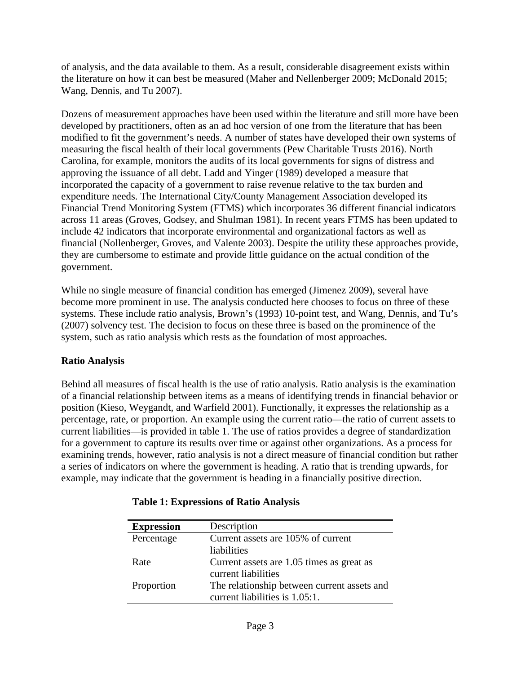of analysis, and the data available to them. As a result, considerable disagreement exists within the literature on how it can best be measured (Maher and Nellenberger 2009; McDonald 2015; Wang, Dennis, and Tu 2007).

Dozens of measurement approaches have been used within the literature and still more have been developed by practitioners, often as an ad hoc version of one from the literature that has been modified to fit the government's needs. A number of states have developed their own systems of measuring the fiscal health of their local governments (Pew Charitable Trusts 2016). North Carolina, for example, monitors the audits of its local governments for signs of distress and approving the issuance of all debt. Ladd and Yinger (1989) developed a measure that incorporated the capacity of a government to raise revenue relative to the tax burden and expenditure needs. The International City/County Management Association developed its Financial Trend Monitoring System (FTMS) which incorporates 36 different financial indicators across 11 areas (Groves, Godsey, and Shulman 1981). In recent years FTMS has been updated to include 42 indicators that incorporate environmental and organizational factors as well as financial (Nollenberger, Groves, and Valente 2003). Despite the utility these approaches provide, they are cumbersome to estimate and provide little guidance on the actual condition of the government.

While no single measure of financial condition has emerged (Jimenez 2009), several have become more prominent in use. The analysis conducted here chooses to focus on three of these systems. These include ratio analysis, Brown's (1993) 10-point test, and Wang, Dennis, and Tu's (2007) solvency test. The decision to focus on these three is based on the prominence of the system, such as ratio analysis which rests as the foundation of most approaches.

## **Ratio Analysis**

Behind all measures of fiscal health is the use of ratio analysis. Ratio analysis is the examination of a financial relationship between items as a means of identifying trends in financial behavior or position (Kieso, Weygandt, and Warfield 2001). Functionally, it expresses the relationship as a percentage, rate, or proportion. An example using the current ratio—the ratio of current assets to current liabilities—is provided in table 1. The use of ratios provides a degree of standardization for a government to capture its results over time or against other organizations. As a process for examining trends, however, ratio analysis is not a direct measure of financial condition but rather a series of indicators on where the government is heading. A ratio that is trending upwards, for example, may indicate that the government is heading in a financially positive direction.

| <b>Expression</b> | Description                                 |
|-------------------|---------------------------------------------|
| Percentage        | Current assets are 105% of current          |
|                   | liabilities                                 |
| Rate              | Current assets are 1.05 times as great as   |
|                   | current liabilities                         |
| Proportion        | The relationship between current assets and |
|                   | current liabilities is 1.05:1.              |

## **Table 1: Expressions of Ratio Analysis**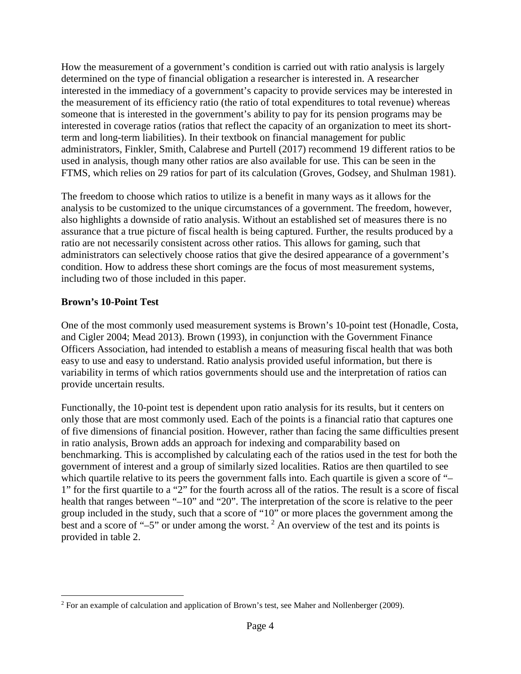How the measurement of a government's condition is carried out with ratio analysis is largely determined on the type of financial obligation a researcher is interested in. A researcher interested in the immediacy of a government's capacity to provide services may be interested in the measurement of its efficiency ratio (the ratio of total expenditures to total revenue) whereas someone that is interested in the government's ability to pay for its pension programs may be interested in coverage ratios (ratios that reflect the capacity of an organization to meet its shortterm and long-term liabilities). In their textbook on financial management for public administrators, Finkler, Smith, Calabrese and Purtell (2017) recommend 19 different ratios to be used in analysis, though many other ratios are also available for use. This can be seen in the FTMS, which relies on 29 ratios for part of its calculation (Groves, Godsey, and Shulman 1981).

The freedom to choose which ratios to utilize is a benefit in many ways as it allows for the analysis to be customized to the unique circumstances of a government. The freedom, however, also highlights a downside of ratio analysis. Without an established set of measures there is no assurance that a true picture of fiscal health is being captured. Further, the results produced by a ratio are not necessarily consistent across other ratios. This allows for gaming, such that administrators can selectively choose ratios that give the desired appearance of a government's condition. How to address these short comings are the focus of most measurement systems, including two of those included in this paper.

## **Brown's 10-Point Test**

One of the most commonly used measurement systems is Brown's 10-point test (Honadle, Costa, and Cigler 2004; Mead 2013). Brown (1993), in conjunction with the Government Finance Officers Association, had intended to establish a means of measuring fiscal health that was both easy to use and easy to understand. Ratio analysis provided useful information, but there is variability in terms of which ratios governments should use and the interpretation of ratios can provide uncertain results.

Functionally, the 10-point test is dependent upon ratio analysis for its results, but it centers on only those that are most commonly used. Each of the points is a financial ratio that captures one of five dimensions of financial position. However, rather than facing the same difficulties present in ratio analysis, Brown adds an approach for indexing and comparability based on benchmarking. This is accomplished by calculating each of the ratios used in the test for both the government of interest and a group of similarly sized localities. Ratios are then quartiled to see which quartile relative to its peers the government falls into. Each quartile is given a score of "– 1" for the first quartile to a "2" for the fourth across all of the ratios. The result is a score of fiscal health that ranges between "–10" and "20". The interpretation of the score is relative to the peer group included in the study, such that a score of "10" or more places the government among the best and a score of " $-5$ " or under among the worst. <sup>[2](#page-7-0)</sup> An overview of the test and its points is provided in table 2.

<span id="page-7-0"></span><sup>&</sup>lt;sup>2</sup> For an example of calculation and application of Brown's test, see Maher and Nollenberger (2009).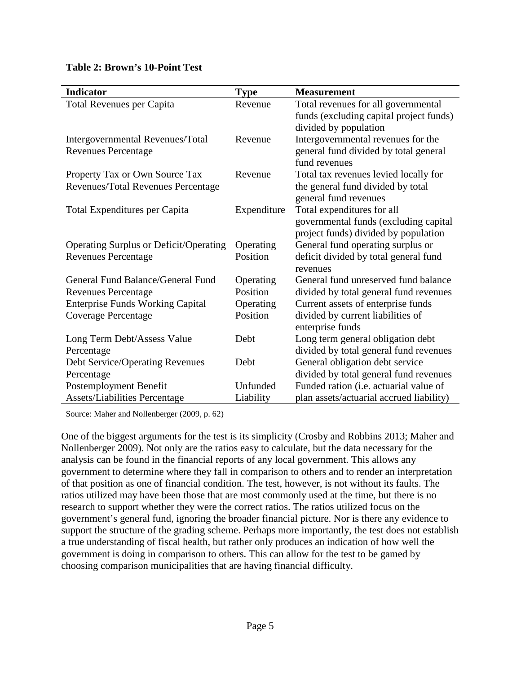|  |  | <b>Table 2: Brown's 10-Point Test</b> |
|--|--|---------------------------------------|
|--|--|---------------------------------------|

| <b>Indicator</b>                                                     | <b>Type</b> | <b>Measurement</b>                                                                                          |
|----------------------------------------------------------------------|-------------|-------------------------------------------------------------------------------------------------------------|
| <b>Total Revenues per Capita</b>                                     | Revenue     | Total revenues for all governmental<br>funds (excluding capital project funds)<br>divided by population     |
| Intergovernmental Revenues/Total<br><b>Revenues Percentage</b>       | Revenue     | Intergovernmental revenues for the<br>general fund divided by total general<br>fund revenues                |
| Property Tax or Own Source Tax<br>Revenues/Total Revenues Percentage | Revenue     | Total tax revenues levied locally for<br>the general fund divided by total<br>general fund revenues         |
| Total Expenditures per Capita                                        | Expenditure | Total expenditures for all<br>governmental funds (excluding capital<br>project funds) divided by population |
| <b>Operating Surplus or Deficit/Operating</b>                        | Operating   | General fund operating surplus or                                                                           |
| <b>Revenues Percentage</b>                                           | Position    | deficit divided by total general fund<br>revenues                                                           |
| General Fund Balance/General Fund                                    | Operating   | General fund unreserved fund balance                                                                        |
| <b>Revenues Percentage</b>                                           | Position    | divided by total general fund revenues                                                                      |
| <b>Enterprise Funds Working Capital</b>                              | Operating   | Current assets of enterprise funds                                                                          |
| <b>Coverage Percentage</b>                                           | Position    | divided by current liabilities of<br>enterprise funds                                                       |
| Long Term Debt/Assess Value                                          | Debt        | Long term general obligation debt                                                                           |
| Percentage                                                           |             | divided by total general fund revenues                                                                      |
| <b>Debt Service/Operating Revenues</b>                               | Debt        | General obligation debt service                                                                             |
| Percentage                                                           |             | divided by total general fund revenues                                                                      |
| Postemployment Benefit                                               | Unfunded    | Funded ration (i.e. actuarial value of                                                                      |
| <b>Assets/Liabilities Percentage</b>                                 | Liability   | plan assets/actuarial accrued liability)                                                                    |

Source: Maher and Nollenberger (2009, p. 62)

One of the biggest arguments for the test is its simplicity (Crosby and Robbins 2013; Maher and Nollenberger 2009). Not only are the ratios easy to calculate, but the data necessary for the analysis can be found in the financial reports of any local government. This allows any government to determine where they fall in comparison to others and to render an interpretation of that position as one of financial condition. The test, however, is not without its faults. The ratios utilized may have been those that are most commonly used at the time, but there is no research to support whether they were the correct ratios. The ratios utilized focus on the government's general fund, ignoring the broader financial picture. Nor is there any evidence to support the structure of the grading scheme. Perhaps more importantly, the test does not establish a true understanding of fiscal health, but rather only produces an indication of how well the government is doing in comparison to others. This can allow for the test to be gamed by choosing comparison municipalities that are having financial difficulty.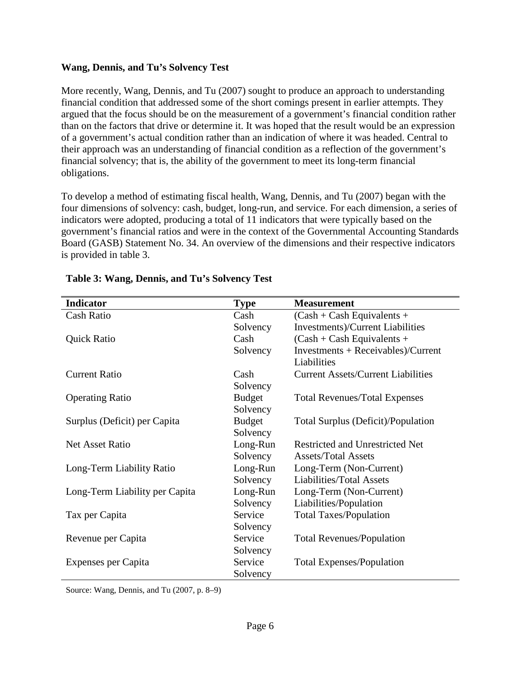## **Wang, Dennis, and Tu's Solvency Test**

More recently, Wang, Dennis, and Tu (2007) sought to produce an approach to understanding financial condition that addressed some of the short comings present in earlier attempts. They argued that the focus should be on the measurement of a government's financial condition rather than on the factors that drive or determine it. It was hoped that the result would be an expression of a government's actual condition rather than an indication of where it was headed. Central to their approach was an understanding of financial condition as a reflection of the government's financial solvency; that is, the ability of the government to meet its long-term financial obligations.

To develop a method of estimating fiscal health, Wang, Dennis, and Tu (2007) began with the four dimensions of solvency: cash, budget, long-run, and service. For each dimension, a series of indicators were adopted, producing a total of 11 indicators that were typically based on the government's financial ratios and were in the context of the Governmental Accounting Standards Board (GASB) Statement No. 34. An overview of the dimensions and their respective indicators is provided in table 3.

| <b>Indicator</b>               | <b>Type</b>   | <b>Measurement</b>                        |
|--------------------------------|---------------|-------------------------------------------|
| <b>Cash Ratio</b>              | Cash          | $(Cash + Cash Equivalents +$              |
|                                | Solvency      | Investments)/Current Liabilities          |
| <b>Quick Ratio</b>             | Cash          | $(Cash + Cash Equivalents +$              |
|                                | Solvency      | $Investments + Receivables)/Current$      |
|                                |               | Liabilities                               |
| <b>Current Ratio</b>           | Cash          | <b>Current Assets/Current Liabilities</b> |
|                                | Solvency      |                                           |
| <b>Operating Ratio</b>         | <b>Budget</b> | <b>Total Revenues/Total Expenses</b>      |
|                                | Solvency      |                                           |
| Surplus (Deficit) per Capita   | <b>Budget</b> | Total Surplus (Deficit)/Population        |
|                                | Solvency      |                                           |
| <b>Net Asset Ratio</b>         | Long-Run      | Restricted and Unrestricted Net           |
|                                | Solvency      | <b>Assets/Total Assets</b>                |
| Long-Term Liability Ratio      | Long-Run      | Long-Term (Non-Current)                   |
|                                | Solvency      | <b>Liabilities/Total Assets</b>           |
| Long-Term Liability per Capita | Long-Run      | Long-Term (Non-Current)                   |
|                                | Solvency      | Liabilities/Population                    |
| Tax per Capita                 | Service       | <b>Total Taxes/Population</b>             |
|                                | Solvency      |                                           |
| Revenue per Capita             | Service       | <b>Total Revenues/Population</b>          |
|                                | Solvency      |                                           |
| Expenses per Capita            | Service       | <b>Total Expenses/Population</b>          |
|                                | Solvency      |                                           |

## **Table 3: Wang, Dennis, and Tu's Solvency Test**

Source: Wang, Dennis, and Tu (2007, p. 8–9)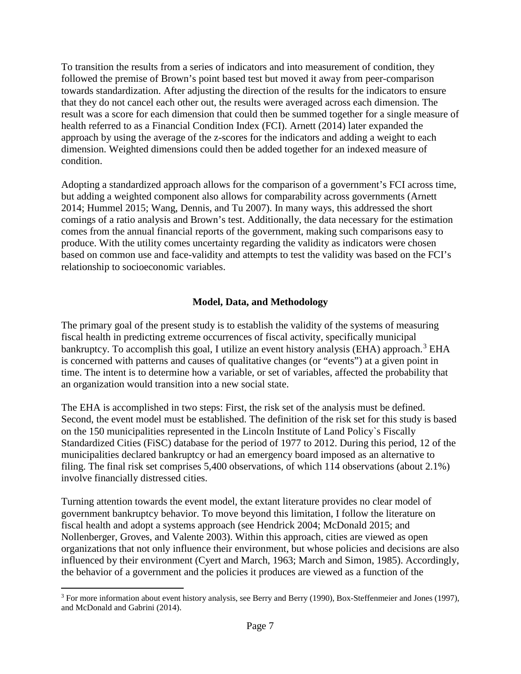To transition the results from a series of indicators and into measurement of condition, they followed the premise of Brown's point based test but moved it away from peer-comparison towards standardization. After adjusting the direction of the results for the indicators to ensure that they do not cancel each other out, the results were averaged across each dimension. The result was a score for each dimension that could then be summed together for a single measure of health referred to as a Financial Condition Index (FCI). Arnett (2014) later expanded the approach by using the average of the z-scores for the indicators and adding a weight to each dimension. Weighted dimensions could then be added together for an indexed measure of condition.

Adopting a standardized approach allows for the comparison of a government's FCI across time, but adding a weighted component also allows for comparability across governments (Arnett 2014; Hummel 2015; Wang, Dennis, and Tu 2007). In many ways, this addressed the short comings of a ratio analysis and Brown's test. Additionally, the data necessary for the estimation comes from the annual financial reports of the government, making such comparisons easy to produce. With the utility comes uncertainty regarding the validity as indicators were chosen based on common use and face-validity and attempts to test the validity was based on the FCI's relationship to socioeconomic variables.

## **Model, Data, and Methodology**

The primary goal of the present study is to establish the validity of the systems of measuring fiscal health in predicting extreme occurrences of fiscal activity, specifically municipal bankruptcy. To accomplish this goal, I utilize an event history analysis (EHA) approach.<sup>[3](#page-10-0)</sup> EHA is concerned with patterns and causes of qualitative changes (or "events") at a given point in time. The intent is to determine how a variable, or set of variables, affected the probability that an organization would transition into a new social state.

The EHA is accomplished in two steps: First, the risk set of the analysis must be defined. Second, the event model must be established. The definition of the risk set for this study is based on the 150 municipalities represented in the Lincoln Institute of Land Policy`s Fiscally Standardized Cities (FiSC) database for the period of 1977 to 2012. During this period, 12 of the municipalities declared bankruptcy or had an emergency board imposed as an alternative to filing. The final risk set comprises 5,400 observations, of which 114 observations (about 2.1%) involve financially distressed cities.

Turning attention towards the event model, the extant literature provides no clear model of government bankruptcy behavior. To move beyond this limitation, I follow the literature on fiscal health and adopt a systems approach (see Hendrick 2004; McDonald 2015; and Nollenberger, Groves, and Valente 2003). Within this approach, cities are viewed as open organizations that not only influence their environment, but whose policies and decisions are also influenced by their environment (Cyert and March, 1963; March and Simon, 1985). Accordingly, the behavior of a government and the policies it produces are viewed as a function of the

<span id="page-10-0"></span><sup>&</sup>lt;sup>3</sup> For more information about event history analysis, see Berry and Berry (1990), Box-Steffenmeier and Jones (1997), and McDonald and Gabrini (2014).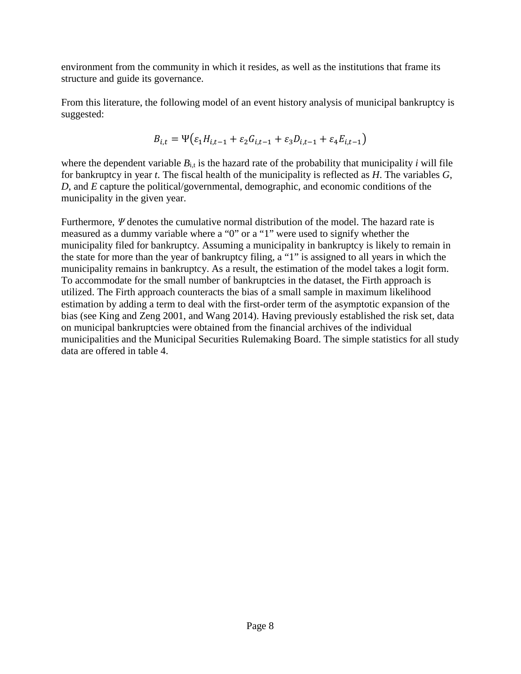environment from the community in which it resides, as well as the institutions that frame its structure and guide its governance.

From this literature, the following model of an event history analysis of municipal bankruptcy is suggested:

$$
B_{i,t} = \Psi\big(\varepsilon_1 H_{i,t-1} + \varepsilon_2 G_{i,t-1} + \varepsilon_3 D_{i,t-1} + \varepsilon_4 E_{i,t-1}\big)
$$

where the dependent variable  $B_{i,t}$  is the hazard rate of the probability that municipality *i* will file for bankruptcy in year *t*. The fiscal health of the municipality is reflected as *H*. The variables *G*, *D*, and *E* capture the political/governmental, demographic, and economic conditions of the municipality in the given year.

Furthermore, *Ψ* denotes the cumulative normal distribution of the model. The hazard rate is measured as a dummy variable where a "0" or a "1" were used to signify whether the municipality filed for bankruptcy. Assuming a municipality in bankruptcy is likely to remain in the state for more than the year of bankruptcy filing, a "1" is assigned to all years in which the municipality remains in bankruptcy. As a result, the estimation of the model takes a logit form. To accommodate for the small number of bankruptcies in the dataset, the Firth approach is utilized. The Firth approach counteracts the bias of a small sample in maximum likelihood estimation by adding a term to deal with the first-order term of the asymptotic expansion of the bias (see King and Zeng 2001, and Wang 2014). Having previously established the risk set, data on municipal bankruptcies were obtained from the financial archives of the individual municipalities and the Municipal Securities Rulemaking Board. The simple statistics for all study data are offered in table 4.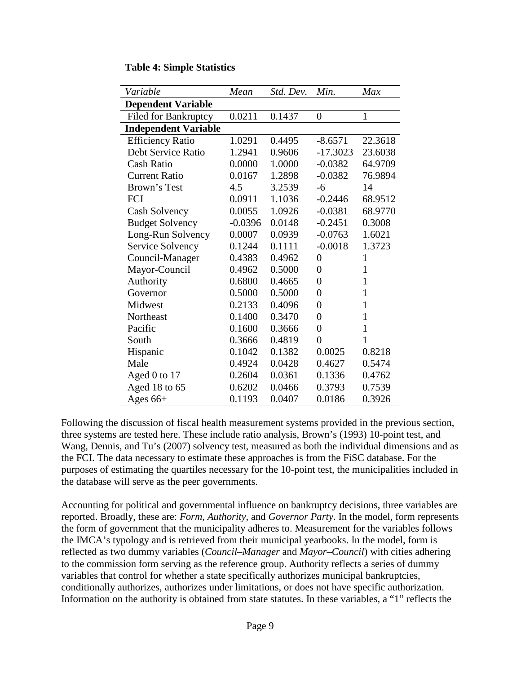| Variable                    | Mean      | Std. Dev. | Min.           | Max          |
|-----------------------------|-----------|-----------|----------------|--------------|
| <b>Dependent Variable</b>   |           |           |                |              |
| <b>Filed for Bankruptcy</b> | 0.0211    | 0.1437    | $\overline{0}$ | $\mathbf{1}$ |
| <b>Independent Variable</b> |           |           |                |              |
| <b>Efficiency Ratio</b>     | 1.0291    | 0.4495    | $-8.6571$      | 22.3618      |
| Debt Service Ratio          | 1.2941    | 0.9606    | $-17.3023$     | 23.6038      |
| Cash Ratio                  | 0.0000    | 1.0000    | $-0.0382$      | 64.9709      |
| <b>Current Ratio</b>        | 0.0167    | 1.2898    | $-0.0382$      | 76.9894      |
| Brown's Test                | 4.5       | 3.2539    | $-6$           | 14           |
| FCI                         | 0.0911    | 1.1036    | $-0.2446$      | 68.9512      |
| Cash Solvency               | 0.0055    | 1.0926    | $-0.0381$      | 68.9770      |
| <b>Budget Solvency</b>      | $-0.0396$ | 0.0148    | $-0.2451$      | 0.3008       |
| Long-Run Solvency           | 0.0007    | 0.0939    | $-0.0763$      | 1.6021       |
| Service Solvency            | 0.1244    | 0.1111    | $-0.0018$      | 1.3723       |
| Council-Manager             | 0.4383    | 0.4962    | $\overline{0}$ | $\mathbf{1}$ |
| Mayor-Council               | 0.4962    | 0.5000    | $\overline{0}$ | $\mathbf{1}$ |
| Authority                   | 0.6800    | 0.4665    | $\overline{0}$ | $\mathbf{1}$ |
| Governor                    | 0.5000    | 0.5000    | $\overline{0}$ | $\mathbf{1}$ |
| Midwest                     | 0.2133    | 0.4096    | $\overline{0}$ | $\mathbf{1}$ |
| Northeast                   | 0.1400    | 0.3470    | $\overline{0}$ | $\mathbf{1}$ |
| Pacific                     | 0.1600    | 0.3666    | $\overline{0}$ | $\mathbf{1}$ |
| South                       | 0.3666    | 0.4819    | $\overline{0}$ | $\mathbf{1}$ |
| Hispanic                    | 0.1042    | 0.1382    | 0.0025         | 0.8218       |
| Male                        | 0.4924    | 0.0428    | 0.4627         | 0.5474       |
| Aged 0 to 17                | 0.2604    | 0.0361    | 0.1336         | 0.4762       |
| Aged 18 to 65               | 0.6202    | 0.0466    | 0.3793         | 0.7539       |
| Ages $66+$                  | 0.1193    | 0.0407    | 0.0186         | 0.3926       |

| <b>Table 4: Simple Statistics</b> |  |  |  |
|-----------------------------------|--|--|--|
|-----------------------------------|--|--|--|

Following the discussion of fiscal health measurement systems provided in the previous section, three systems are tested here. These include ratio analysis, Brown's (1993) 10-point test, and Wang, Dennis, and Tu's (2007) solvency test, measured as both the individual dimensions and as the FCI. The data necessary to estimate these approaches is from the FiSC database. For the purposes of estimating the quartiles necessary for the 10-point test, the municipalities included in the database will serve as the peer governments.

Accounting for political and governmental influence on bankruptcy decisions, three variables are reported. Broadly, these are: *Form*, *Authority*, and *Governor Party*. In the model, form represents the form of government that the municipality adheres to. Measurement for the variables follows the IMCA's typology and is retrieved from their municipal yearbooks. In the model, form is reflected as two dummy variables (*Council–Manager* and *Mayor–Council*) with cities adhering to the commission form serving as the reference group. Authority reflects a series of dummy variables that control for whether a state specifically authorizes municipal bankruptcies, conditionally authorizes, authorizes under limitations, or does not have specific authorization. Information on the authority is obtained from state statutes. In these variables, a "1" reflects the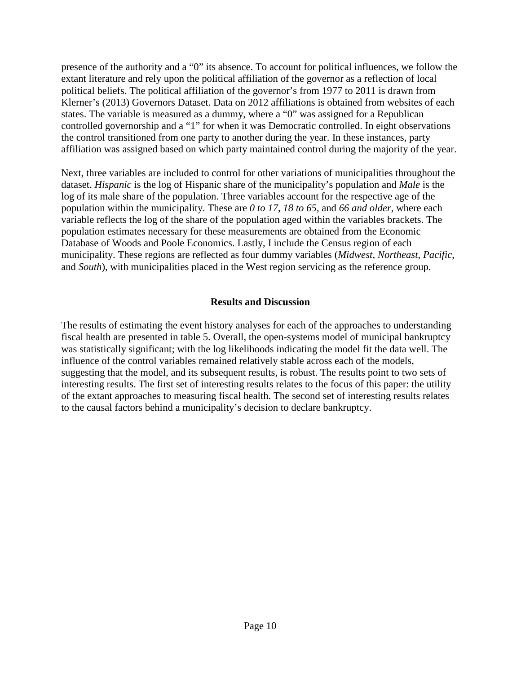presence of the authority and a "0" its absence. To account for political influences, we follow the extant literature and rely upon the political affiliation of the governor as a reflection of local political beliefs. The political affiliation of the governor's from 1977 to 2011 is drawn from Klerner's (2013) Governors Dataset. Data on 2012 affiliations is obtained from websites of each states. The variable is measured as a dummy, where a "0" was assigned for a Republican controlled governorship and a "1" for when it was Democratic controlled. In eight observations the control transitioned from one party to another during the year. In these instances, party affiliation was assigned based on which party maintained control during the majority of the year.

Next, three variables are included to control for other variations of municipalities throughout the dataset. *Hispanic* is the log of Hispanic share of the municipality's population and *Male* is the log of its male share of the population. Three variables account for the respective age of the population within the municipality. These are *0 to 17*, *18 to 65*, and *66 and older*, where each variable reflects the log of the share of the population aged within the variables brackets. The population estimates necessary for these measurements are obtained from the Economic Database of Woods and Poole Economics. Lastly, I include the Census region of each municipality. These regions are reflected as four dummy variables (*Midwest*, *Northeast*, *Pacific*, and *South*), with municipalities placed in the West region servicing as the reference group.

## **Results and Discussion**

The results of estimating the event history analyses for each of the approaches to understanding fiscal health are presented in table 5. Overall, the open-systems model of municipal bankruptcy was statistically significant; with the log likelihoods indicating the model fit the data well. The influence of the control variables remained relatively stable across each of the models, suggesting that the model, and its subsequent results, is robust. The results point to two sets of interesting results. The first set of interesting results relates to the focus of this paper: the utility of the extant approaches to measuring fiscal health. The second set of interesting results relates to the causal factors behind a municipality's decision to declare bankruptcy.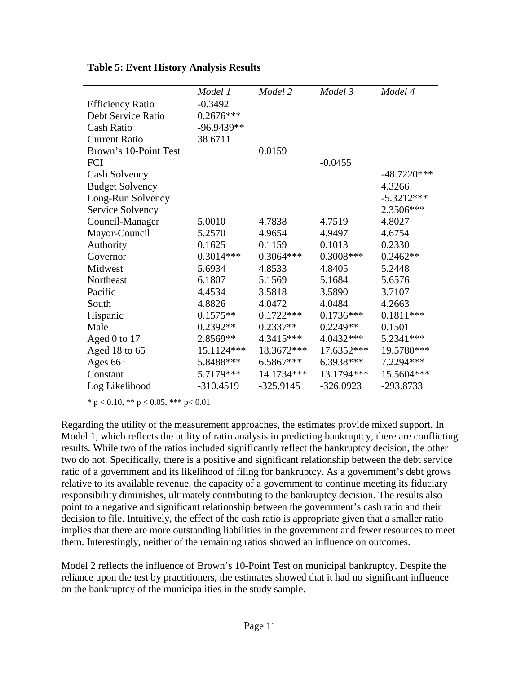|                         | Model 1     | Model 2     | Model 3     | Model 4       |
|-------------------------|-------------|-------------|-------------|---------------|
| <b>Efficiency Ratio</b> | $-0.3492$   |             |             |               |
| Debt Service Ratio      | $0.2676***$ |             |             |               |
| Cash Ratio              | -96.9439**  |             |             |               |
| <b>Current Ratio</b>    | 38.6711     |             |             |               |
| Brown's 10-Point Test   |             | 0.0159      |             |               |
| FCI                     |             |             | $-0.0455$   |               |
| Cash Solvency           |             |             |             | $-48.7220***$ |
| <b>Budget Solvency</b>  |             |             |             | 4.3266        |
| Long-Run Solvency       |             |             |             | $-5.3212***$  |
| Service Solvency        |             |             |             | 2.3506***     |
| Council-Manager         | 5.0010      | 4.7838      | 4.7519      | 4.8027        |
| Mayor-Council           | 5.2570      | 4.9654      | 4.9497      | 4.6754        |
| Authority               | 0.1625      | 0.1159      | 0.1013      | 0.2330        |
| Governor                | $0.3014***$ | $0.3064***$ | 0.3008***   | $0.2462**$    |
| Midwest                 | 5.6934      | 4.8533      | 4.8405      | 5.2448        |
| Northeast               | 6.1807      | 5.1569      | 5.1684      | 5.6576        |
| Pacific                 | 4.4534      | 3.5818      | 3.5890      | 3.7107        |
| South                   | 4.8826      | 4.0472      | 4.0484      | 4.2663        |
| Hispanic                | $0.1575**$  | $0.1722***$ | $0.1736***$ | $0.1811***$   |
| Male                    | $0.2392**$  | $0.2337**$  | $0.2249**$  | 0.1501        |
| Aged 0 to 17            | 2.8569**    | $4.3415***$ | 4.0432***   | 5.2341***     |
| Aged 18 to 65           | 15.1124***  | 18.3672***  | 17.6352***  | 19.5780***    |
| Ages $66+$              | 5.8488***   | $6.5867***$ | 6.3938***   | 7.2294 ***    |
| Constant                | 5.7179***   | 14.1734***  | 13.1794 *** | 15.5604***    |
| Log Likelihood          | $-310.4519$ | $-325.9145$ | $-326.0923$ | -293.8733     |

**Table 5: Event History Analysis Results**

 $*$  p < 0.10,  $*$  p < 0.05,  $*$   $*$  p < 0.01

Regarding the utility of the measurement approaches, the estimates provide mixed support. In Model 1, which reflects the utility of ratio analysis in predicting bankruptcy, there are conflicting results. While two of the ratios included significantly reflect the bankruptcy decision, the other two do not. Specifically, there is a positive and significant relationship between the debt service ratio of a government and its likelihood of filing for bankruptcy. As a government's debt grows relative to its available revenue, the capacity of a government to continue meeting its fiduciary responsibility diminishes, ultimately contributing to the bankruptcy decision. The results also point to a negative and significant relationship between the government's cash ratio and their decision to file. Intuitively, the effect of the cash ratio is appropriate given that a smaller ratio implies that there are more outstanding liabilities in the government and fewer resources to meet them. Interestingly, neither of the remaining ratios showed an influence on outcomes.

Model 2 reflects the influence of Brown's 10-Point Test on municipal bankruptcy. Despite the reliance upon the test by practitioners, the estimates showed that it had no significant influence on the bankruptcy of the municipalities in the study sample.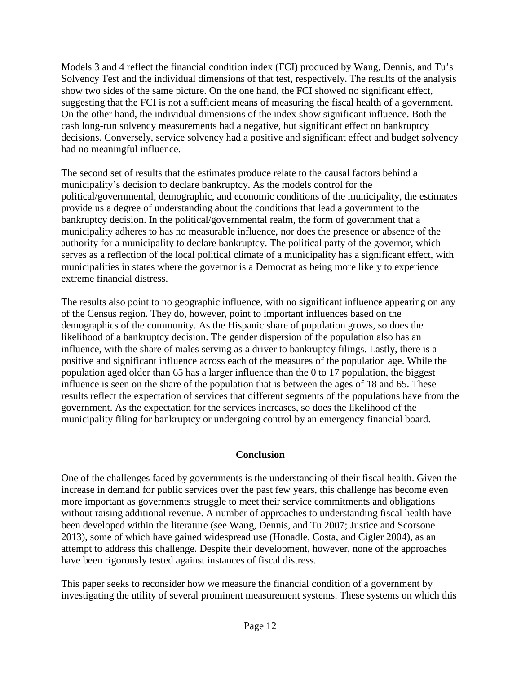Models 3 and 4 reflect the financial condition index (FCI) produced by Wang, Dennis, and Tu's Solvency Test and the individual dimensions of that test, respectively. The results of the analysis show two sides of the same picture. On the one hand, the FCI showed no significant effect, suggesting that the FCI is not a sufficient means of measuring the fiscal health of a government. On the other hand, the individual dimensions of the index show significant influence. Both the cash long-run solvency measurements had a negative, but significant effect on bankruptcy decisions. Conversely, service solvency had a positive and significant effect and budget solvency had no meaningful influence.

The second set of results that the estimates produce relate to the causal factors behind a municipality's decision to declare bankruptcy. As the models control for the political/governmental, demographic, and economic conditions of the municipality, the estimates provide us a degree of understanding about the conditions that lead a government to the bankruptcy decision. In the political/governmental realm, the form of government that a municipality adheres to has no measurable influence, nor does the presence or absence of the authority for a municipality to declare bankruptcy. The political party of the governor, which serves as a reflection of the local political climate of a municipality has a significant effect, with municipalities in states where the governor is a Democrat as being more likely to experience extreme financial distress.

The results also point to no geographic influence, with no significant influence appearing on any of the Census region. They do, however, point to important influences based on the demographics of the community. As the Hispanic share of population grows, so does the likelihood of a bankruptcy decision. The gender dispersion of the population also has an influence, with the share of males serving as a driver to bankruptcy filings. Lastly, there is a positive and significant influence across each of the measures of the population age. While the population aged older than 65 has a larger influence than the 0 to 17 population, the biggest influence is seen on the share of the population that is between the ages of 18 and 65. These results reflect the expectation of services that different segments of the populations have from the government. As the expectation for the services increases, so does the likelihood of the municipality filing for bankruptcy or undergoing control by an emergency financial board.

## **Conclusion**

One of the challenges faced by governments is the understanding of their fiscal health. Given the increase in demand for public services over the past few years, this challenge has become even more important as governments struggle to meet their service commitments and obligations without raising additional revenue. A number of approaches to understanding fiscal health have been developed within the literature (see Wang, Dennis, and Tu 2007; Justice and Scorsone 2013), some of which have gained widespread use (Honadle, Costa, and Cigler 2004), as an attempt to address this challenge. Despite their development, however, none of the approaches have been rigorously tested against instances of fiscal distress.

This paper seeks to reconsider how we measure the financial condition of a government by investigating the utility of several prominent measurement systems. These systems on which this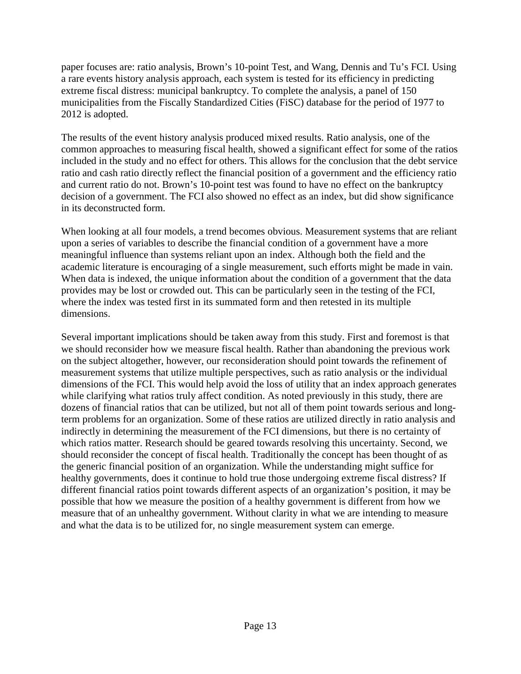paper focuses are: ratio analysis, Brown's 10-point Test, and Wang, Dennis and Tu's FCI. Using a rare events history analysis approach, each system is tested for its efficiency in predicting extreme fiscal distress: municipal bankruptcy. To complete the analysis, a panel of 150 municipalities from the Fiscally Standardized Cities (FiSC) database for the period of 1977 to 2012 is adopted.

The results of the event history analysis produced mixed results. Ratio analysis, one of the common approaches to measuring fiscal health, showed a significant effect for some of the ratios included in the study and no effect for others. This allows for the conclusion that the debt service ratio and cash ratio directly reflect the financial position of a government and the efficiency ratio and current ratio do not. Brown's 10-point test was found to have no effect on the bankruptcy decision of a government. The FCI also showed no effect as an index, but did show significance in its deconstructed form.

When looking at all four models, a trend becomes obvious. Measurement systems that are reliant upon a series of variables to describe the financial condition of a government have a more meaningful influence than systems reliant upon an index. Although both the field and the academic literature is encouraging of a single measurement, such efforts might be made in vain. When data is indexed, the unique information about the condition of a government that the data provides may be lost or crowded out. This can be particularly seen in the testing of the FCI, where the index was tested first in its summated form and then retested in its multiple dimensions.

Several important implications should be taken away from this study. First and foremost is that we should reconsider how we measure fiscal health. Rather than abandoning the previous work on the subject altogether, however, our reconsideration should point towards the refinement of measurement systems that utilize multiple perspectives, such as ratio analysis or the individual dimensions of the FCI. This would help avoid the loss of utility that an index approach generates while clarifying what ratios truly affect condition. As noted previously in this study, there are dozens of financial ratios that can be utilized, but not all of them point towards serious and longterm problems for an organization. Some of these ratios are utilized directly in ratio analysis and indirectly in determining the measurement of the FCI dimensions, but there is no certainty of which ratios matter. Research should be geared towards resolving this uncertainty. Second, we should reconsider the concept of fiscal health. Traditionally the concept has been thought of as the generic financial position of an organization. While the understanding might suffice for healthy governments, does it continue to hold true those undergoing extreme fiscal distress? If different financial ratios point towards different aspects of an organization's position, it may be possible that how we measure the position of a healthy government is different from how we measure that of an unhealthy government. Without clarity in what we are intending to measure and what the data is to be utilized for, no single measurement system can emerge.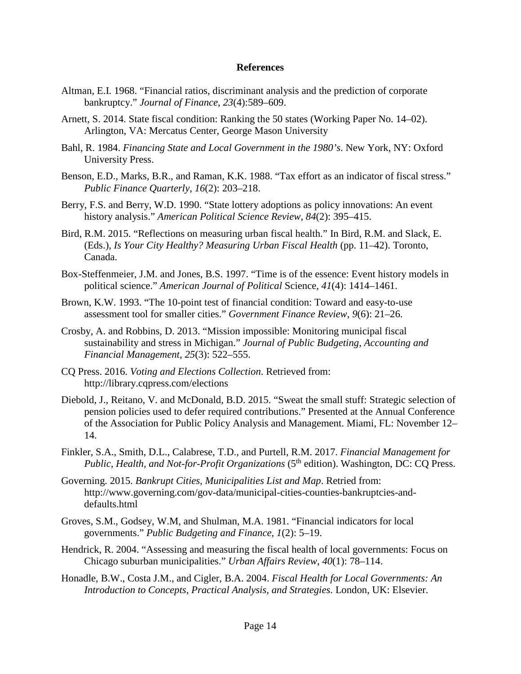#### **References**

- Altman, E.I. 1968. "Financial ratios, discriminant analysis and the prediction of corporate bankruptcy." *Journal of Finance*, *23*(4):589–609.
- Arnett, S. 2014. State fiscal condition: Ranking the 50 states (Working Paper No. 14–02). Arlington, VA: Mercatus Center, George Mason University
- Bahl, R. 1984. *Financing State and Local Government in the 1980's*. New York, NY: Oxford University Press.
- Benson, E.D., Marks, B.R., and Raman, K.K. 1988. "Tax effort as an indicator of fiscal stress." *Public Finance Quarterly*, *16*(2): 203–218.
- Berry, F.S. and Berry, W.D. 1990. "State lottery adoptions as policy innovations: An event history analysis." *American Political Science Review*, *84*(2): 395–415.
- Bird, R.M. 2015. "Reflections on measuring urban fiscal health." In Bird, R.M. and Slack, E. (Eds.), *Is Your City Healthy? Measuring Urban Fiscal Health* (pp. 11–42). Toronto, Canada.
- Box-Steffenmeier, J.M. and Jones, B.S. 1997. "Time is of the essence: Event history models in political science." *American Journal of Political* Science, *41*(4): 1414–1461.
- Brown, K.W. 1993. "The 10-point test of financial condition: Toward and easy-to-use assessment tool for smaller cities." *Government Finance Review*, *9*(6): 21–26.
- Crosby, A. and Robbins, D. 2013. "Mission impossible: Monitoring municipal fiscal sustainability and stress in Michigan." *Journal of Public Budgeting, Accounting and Financial Management*, *25*(3): 522–555.
- CQ Press. 2016. *Voting and Elections Collection*. Retrieved from: <http://library.cqpress.com/elections>
- Diebold, J., Reitano, V. and McDonald, B.D. 2015. "Sweat the small stuff: Strategic selection of pension policies used to defer required contributions." Presented at the Annual Conference of the Association for Public Policy Analysis and Management. Miami, FL: November 12– 14.
- Finkler, S.A., Smith, D.L., Calabrese, T.D., and Purtell, R.M. 2017. *Financial Management for Public, Health, and Not-for-Profit Organizations* (5<sup>th</sup> edition). Washington, DC: CQ Press.
- Governing. 2015. *Bankrupt Cities, Municipalities List and Map*. Retried from: [http://www.governing.com/gov-data/municipal-cities-counties-bankruptcies-and](http://www.governing.com/gov-data/municipal-cities-counties-bankruptcies-and-defaults.html)[defaults.html](http://www.governing.com/gov-data/municipal-cities-counties-bankruptcies-and-defaults.html)
- Groves, S.M., Godsey, W.M, and Shulman, M.A. 1981. "Financial indicators for local governments." *Public Budgeting and Finance*, *1*(2): 5–19.
- Hendrick, R. 2004. "Assessing and measuring the fiscal health of local governments: Focus on Chicago suburban municipalities." *Urban Affairs Review*, *40*(1): 78–114.
- Honadle, B.W., Costa J.M., and Cigler, B.A. 2004. *Fiscal Health for Local Governments: An Introduction to Concepts, Practical Analysis, and Strategies*. London, UK: Elsevier.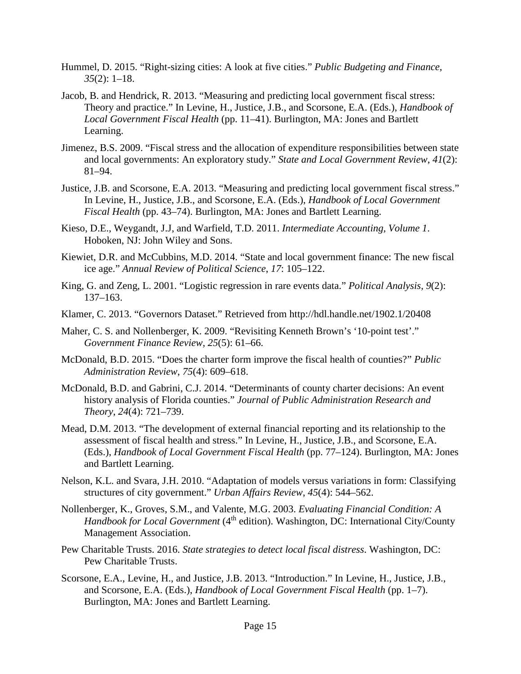- Hummel, D. 2015. "Right-sizing cities: A look at five cities." *Public Budgeting and Finance*, *35*(2): 1–18.
- Jacob, B. and Hendrick, R. 2013. "Measuring and predicting local government fiscal stress: Theory and practice." In Levine, H., Justice, J.B., and Scorsone, E.A. (Eds.), *Handbook of Local Government Fiscal Health* (pp. 11–41). Burlington, MA: Jones and Bartlett Learning.
- Jimenez, B.S. 2009. "Fiscal stress and the allocation of expenditure responsibilities between state and local governments: An exploratory study." *State and Local Government Review*, *41*(2): 81–94.
- Justice, J.B. and Scorsone, E.A. 2013. "Measuring and predicting local government fiscal stress." In Levine, H., Justice, J.B., and Scorsone, E.A. (Eds.), *Handbook of Local Government Fiscal Health* (pp. 43–74). Burlington, MA: Jones and Bartlett Learning.
- Kieso, D.E., Weygandt, J.J, and Warfield, T.D. 2011. *Intermediate Accounting, Volume 1*. Hoboken, NJ: John Wiley and Sons.
- Kiewiet, D.R. and McCubbins, M.D. 2014. "State and local government finance: The new fiscal ice age." *Annual Review of Political Science*, *17*: 105–122.
- King, G. and Zeng, L. 2001. "Logistic regression in rare events data." *Political Analysis*, *9*(2): 137–163.
- Klamer, C. 2013. "Governors Dataset." Retrieved from<http://hdl.handle.net/1902.1/20408>
- Maher, C. S. and Nollenberger, K. 2009. "Revisiting Kenneth Brown's '10-point test'." *Government Finance Review*, *25*(5): 61–66.
- McDonald, B.D. 2015. "Does the charter form improve the fiscal health of counties?" *Public Administration Review*, *75*(4): 609–618.
- McDonald, B.D. and Gabrini, C.J. 2014. "Determinants of county charter decisions: An event history analysis of Florida counties." *Journal of Public Administration Research and Theory*, *24*(4): 721–739.
- Mead, D.M. 2013. "The development of external financial reporting and its relationship to the assessment of fiscal health and stress." In Levine, H., Justice, J.B., and Scorsone, E.A. (Eds.), *Handbook of Local Government Fiscal Health* (pp. 77–124). Burlington, MA: Jones and Bartlett Learning.
- Nelson, K.L. and Svara, J.H. 2010. "Adaptation of models versus variations in form: Classifying structures of city government." *Urban Affairs Review*, *45*(4): 544–562.
- Nollenberger, K., Groves, S.M., and Valente, M.G. 2003. *Evaluating Financial Condition: A Handbook for Local Government* (4<sup>th</sup> edition). Washington, DC: International City/County Management Association.
- Pew Charitable Trusts. 2016. *State strategies to detect local fiscal distress*. Washington, DC: Pew Charitable Trusts.
- Scorsone, E.A., Levine, H., and Justice, J.B. 2013. "Introduction." In Levine, H., Justice, J.B., and Scorsone, E.A. (Eds.), *Handbook of Local Government Fiscal Health* (pp. 1–7). Burlington, MA: Jones and Bartlett Learning.